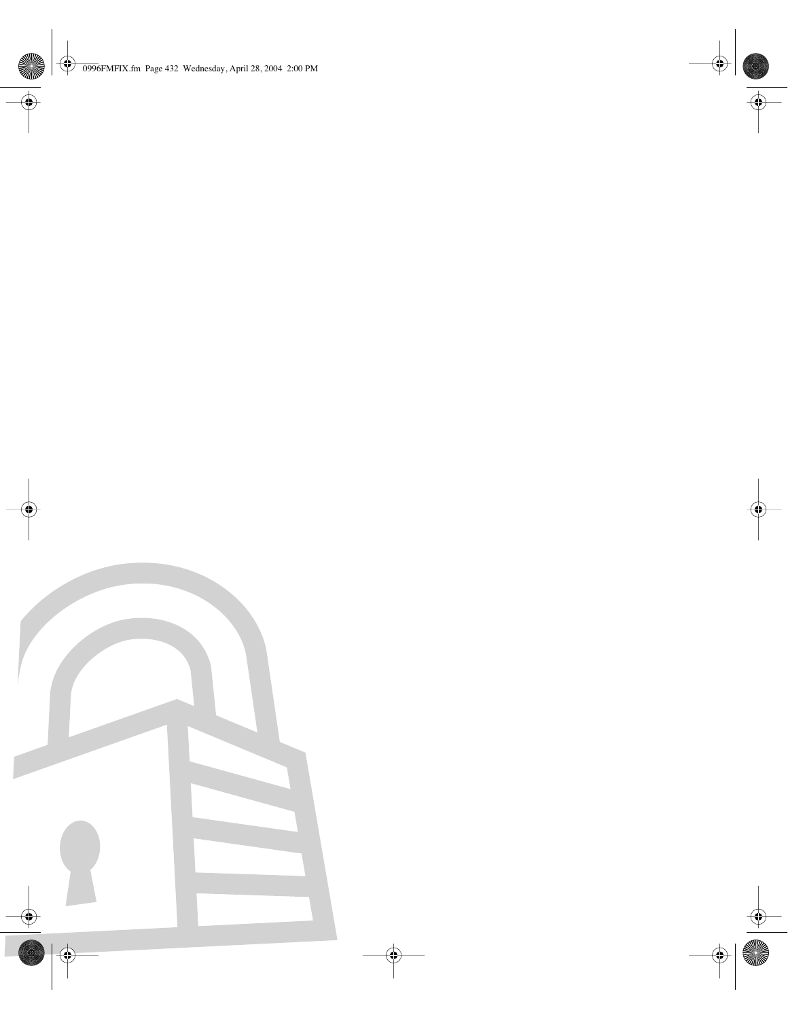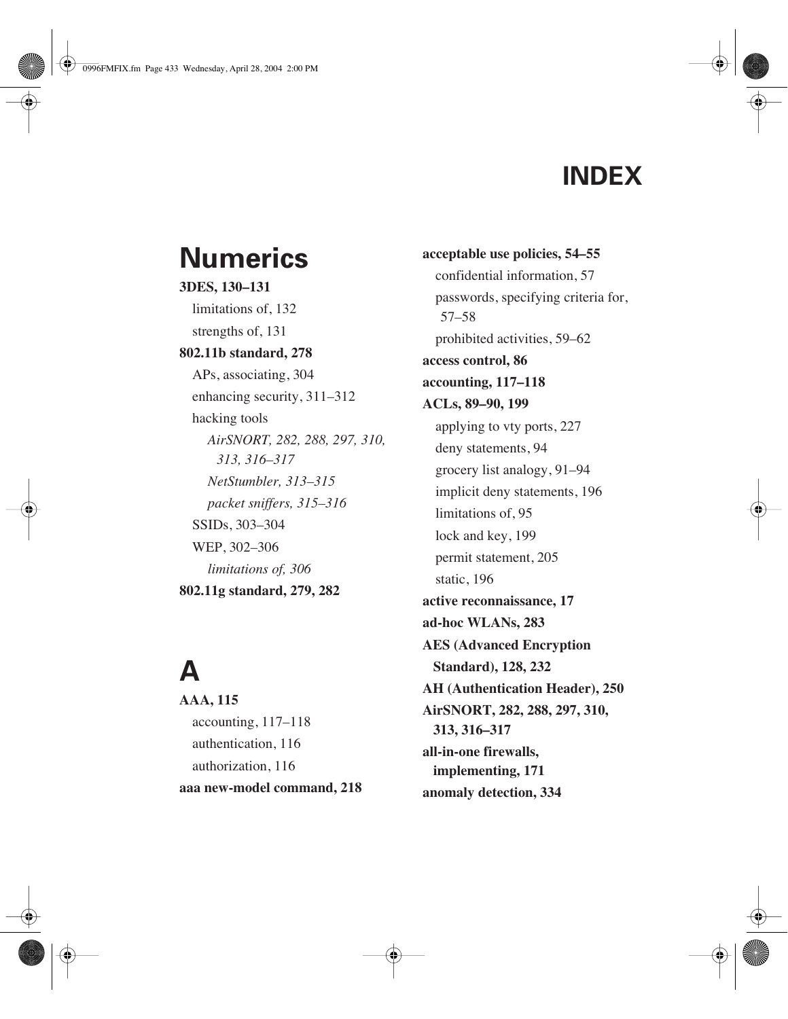### **INDEX**

### **Numerics**

**3DES, 130–131** limitations of, 132 strengths of, 131 **802.11b standard, 278** APs, associating, 304 enhancing security, 311–312 hacking tools *AirSNORT, 282, 288, 297, 310, 313, 316–317 NetStumbler, 313–315 packet sniffers, 315–316* SSIDs, 303–304 WEP, 302–306 *limitations of, 306*  **802.11g standard, 279, 282**

# **A**

**AAA, 115** accounting, 117–118 authentication, 116 authorization, 116 **aaa new-model command, 218** **acceptable use policies, 54–55** confidential information, 57 passwords, specifying criteria for, 57–58 prohibited activities, 59–62 **access control, 86 accounting, 117–118 ACLs, 89–90, 199** applying to vty ports, 227 deny statements, 94 grocery list analogy, 91–94 implicit deny statements, 196 limitations of, 95 lock and key, 199 permit statement, 205 static, 196 **active reconnaissance, 17 ad-hoc WLANs, 283 AES (Advanced Encryption Standard), 128, 232 AH (Authentication Header), 250 AirSNORT, 282, 288, 297, 310, 313, 316–317 all-in-one firewalls, implementing, 171 anomaly detection, 334**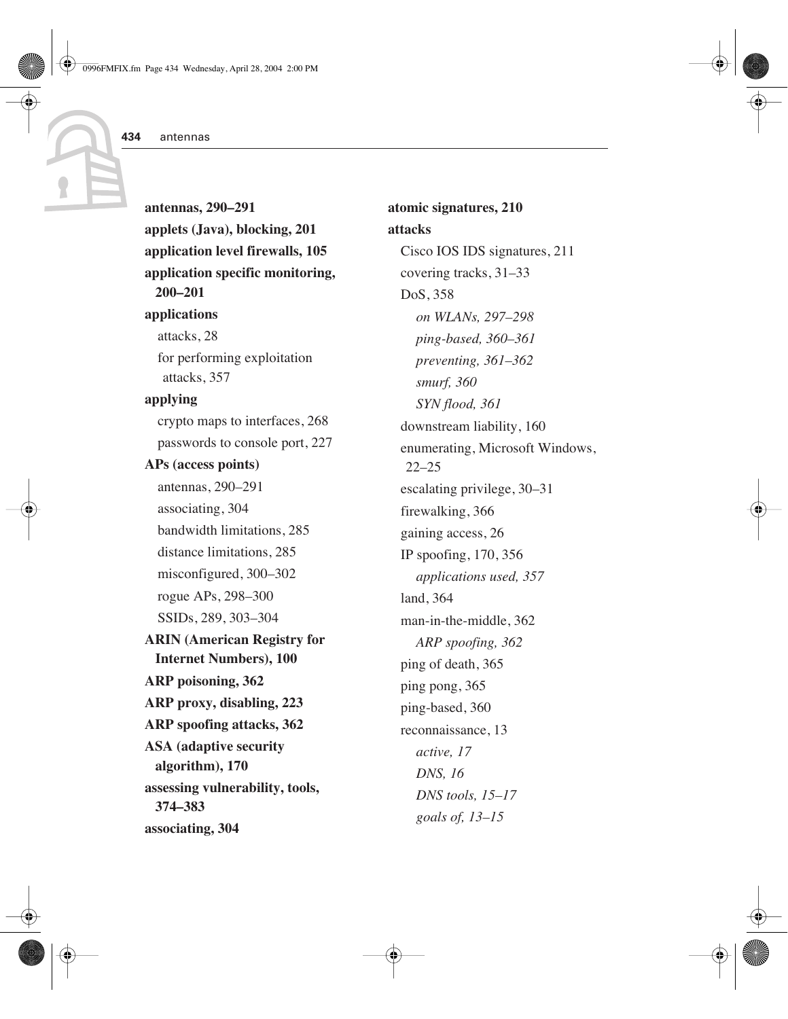**antennas, 290–291 applets (Java), blocking, 201 application level firewalls, 105 application specific monitoring, 200–201 applications** attacks, 28 for performing exploitation attacks, 357 **applying** crypto maps to interfaces, 268 passwords to console port, 227 **APs (access points)** antennas, 290–291 associating, 304 bandwidth limitations, 285 distance limitations, 285 misconfigured, 300–302 rogue APs, 298–300 SSIDs, 289, 303–304 **ARIN (American Registry for Internet Numbers), 100 ARP poisoning, 362 ARP proxy, disabling, 223 ARP spoofing attacks, 362 ASA (adaptive security algorithm), 170 assessing vulnerability, tools, 374–383 associating, 304**

**atomic signatures, 210 attacks** Cisco IOS IDS signatures, 211 covering tracks, 31–33 DoS, 358 *on WLANs, 297–298 ping-based, 360–361 preventing, 361–362 smurf, 360 SYN flood, 361* downstream liability, 160 enumerating, Microsoft Windows, 22–25 escalating privilege, 30–31 firewalking, 366 gaining access, 26 IP spoofing, 170, 356 *applications used, 357* land, 364 man-in-the-middle, 362 *ARP spoofing, 362* ping of death, 365 ping pong, 365 ping-based, 360 reconnaissance, 13 *active, 17 DNS, 16 DNS tools, 15–17 goals of, 13–15*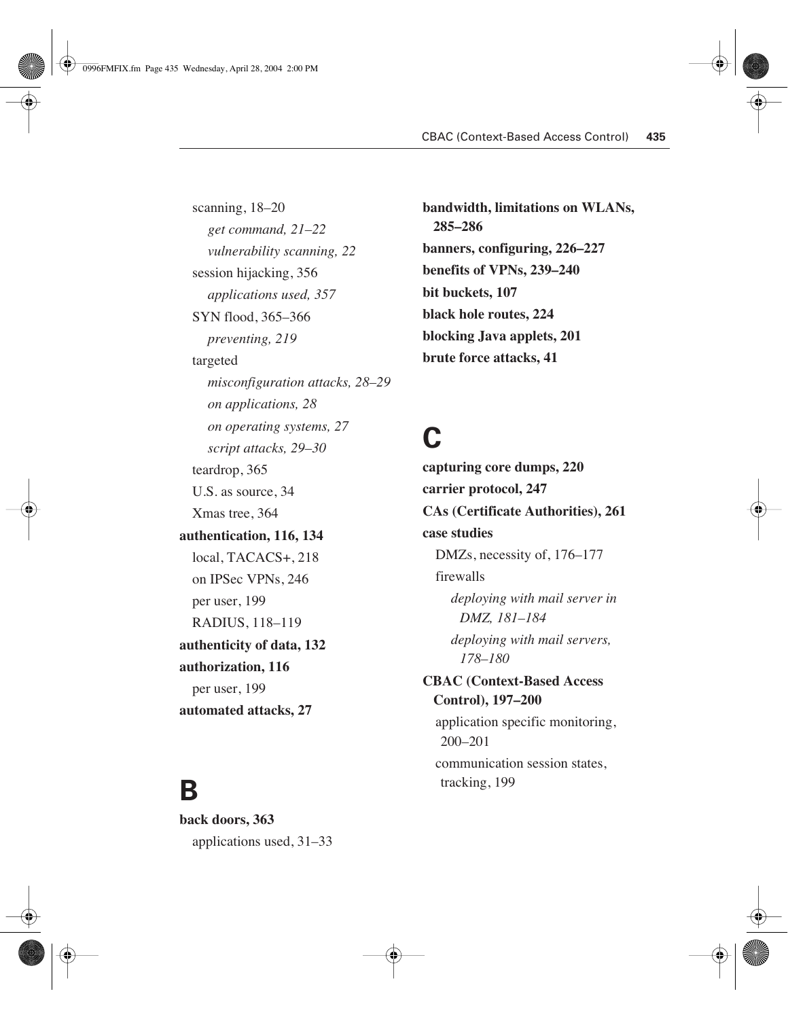scanning, 18–20 *get command, 21–22 vulnerability scanning, 22* session hijacking, 356 *applications used, 357* SYN flood, 365–366 *preventing, 219* targeted *misconfiguration attacks, 28–29 on applications, 28 on operating systems, 27 script attacks, 29–30* teardrop, 365 U.S. as source, 34 Xmas tree, 364 **authentication, 116, 134** local, TACACS+, 218 on IPSec VPNs, 246 per user, 199 RADIUS, 118–119 **authenticity of data, 132 authorization, 116** per user, 199 **automated attacks, 27**

### **B**

**back doors, 363** applications used, 31–33 **bandwidth, limitations on WLANs, 285–286 banners, configuring, 226–227 benefits of VPNs, 239–240 bit buckets, 107 black hole routes, 224 blocking Java applets, 201 brute force attacks, 41**

### **C**

**capturing core dumps, 220 carrier protocol, 247 CAs (Certificate Authorities), 261 case studies** DMZs, necessity of, 176–177 firewalls *deploying with mail server in DMZ, 181–184 deploying with mail servers, 178–180* **CBAC (Context-Based Access Control), 197–200** application specific monitoring, 200–201 communication session states,

tracking, 199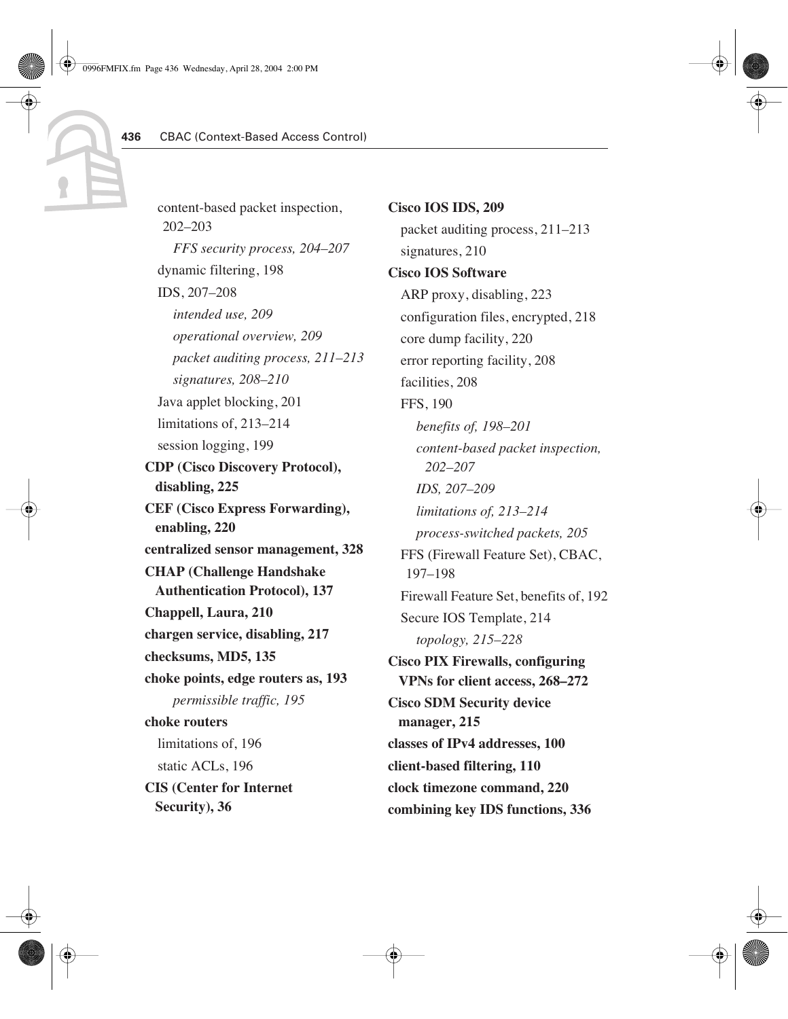content-based packet inspection, 202–203 *FFS security process, 204–207* dynamic filtering, 198 IDS, 207–208 *intended use, 209 operational overview, 209 packet auditing process, 211–213 signatures, 208–210* Java applet blocking, 201 limitations of, 213–214 session logging, 199 **CDP (Cisco Discovery Protocol), disabling, 225 CEF (Cisco Express Forwarding), enabling, 220 centralized sensor management, 328 CHAP (Challenge Handshake Authentication Protocol), 137 Chappell, Laura, 210 chargen service, disabling, 217 checksums, MD5, 135 choke points, edge routers as, 193** *permissible traffic, 195* **choke routers** limitations of, 196 static ACLs, 196 **CIS (Center for Internet** 

 **Security), 36**

**Cisco IOS IDS, 209** packet auditing process, 211–213 signatures, 210 **Cisco IOS Software** ARP proxy, disabling, 223 configuration files, encrypted, 218 core dump facility, 220 error reporting facility, 208 facilities, 208 FFS, 190 *benefits of, 198–201 content-based packet inspection, 202–207 IDS, 207–209 limitations of, 213–214 process-switched packets, 205* FFS (Firewall Feature Set), CBAC, 197–198 Firewall Feature Set, benefits of, 192 Secure IOS Template, 214 *topology, 215–228* **Cisco PIX Firewalls, configuring VPNs for client access, 268–272 Cisco SDM Security device manager, 215 classes of IPv4 addresses, 100 client-based filtering, 110 clock timezone command, 220 combining key IDS functions, 336**

**436**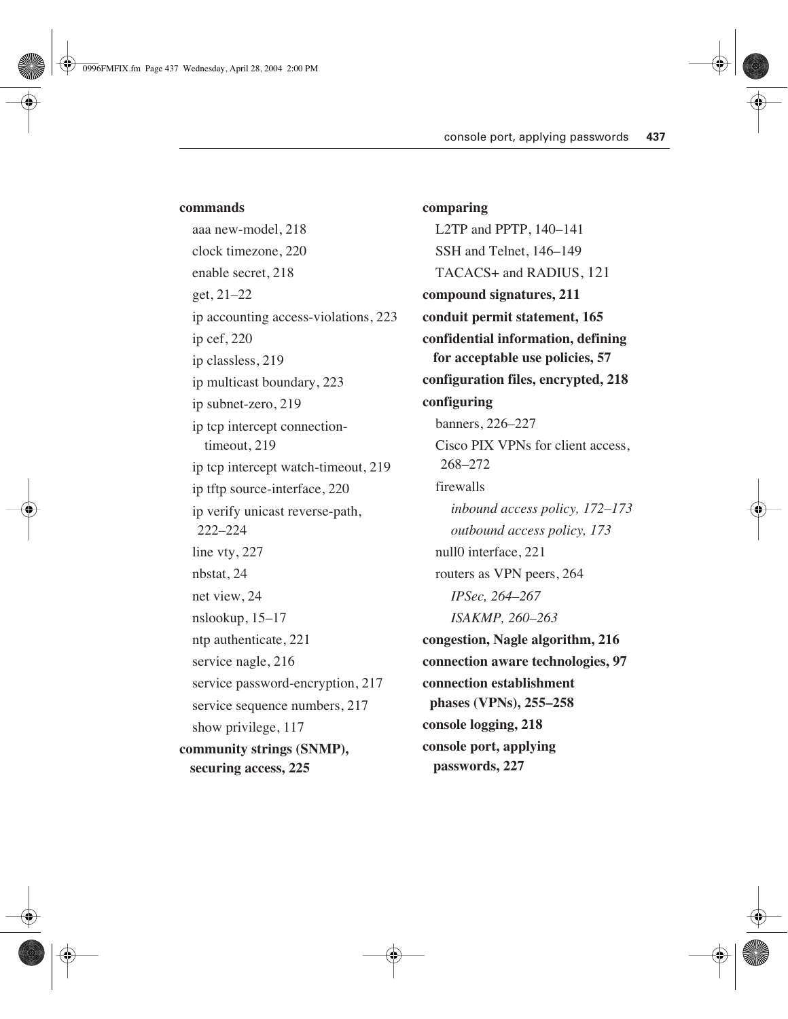#### **commands**

aaa new-model, 218 clock timezone, 220 enable secret, 218 get, 21–22 ip accounting access-violations, 223 ip cef, 220 ip classless, 219 ip multicast boundary, 223 ip subnet-zero, 219 ip tcp intercept connection timeout, 219 ip tcp intercept watch-timeout, 219 ip tftp source-interface, 220 ip verify unicast reverse-path, 222–224 line vty, 227 nbstat, 24 net view, 24 nslookup, 15–17 ntp authenticate, 221 service nagle, 216 service password-encryption, 217 service sequence numbers, 217 show privilege, 117 **community strings (SNMP), securing access, 225**

**comparing** L2TP and PPTP, 140–141 SSH and Telnet, 146–149 TACACS+ and RADIUS, 121 **compound signatures, 211 conduit permit statement, 165 confidential information, defining for acceptable use policies, 57 configuration files, encrypted, 218 configuring** banners, 226–227 Cisco PIX VPNs for client access, 268–272 firewalls *inbound access policy, 172–173 outbound access policy, 173* null0 interface, 221 routers as VPN peers, 264 *IPSec, 264–267 ISAKMP, 260–263* **congestion, Nagle algorithm, 216 connection aware technologies, 97 connection establishment phases (VPNs), 255–258 console logging, 218 console port, applying passwords, 227**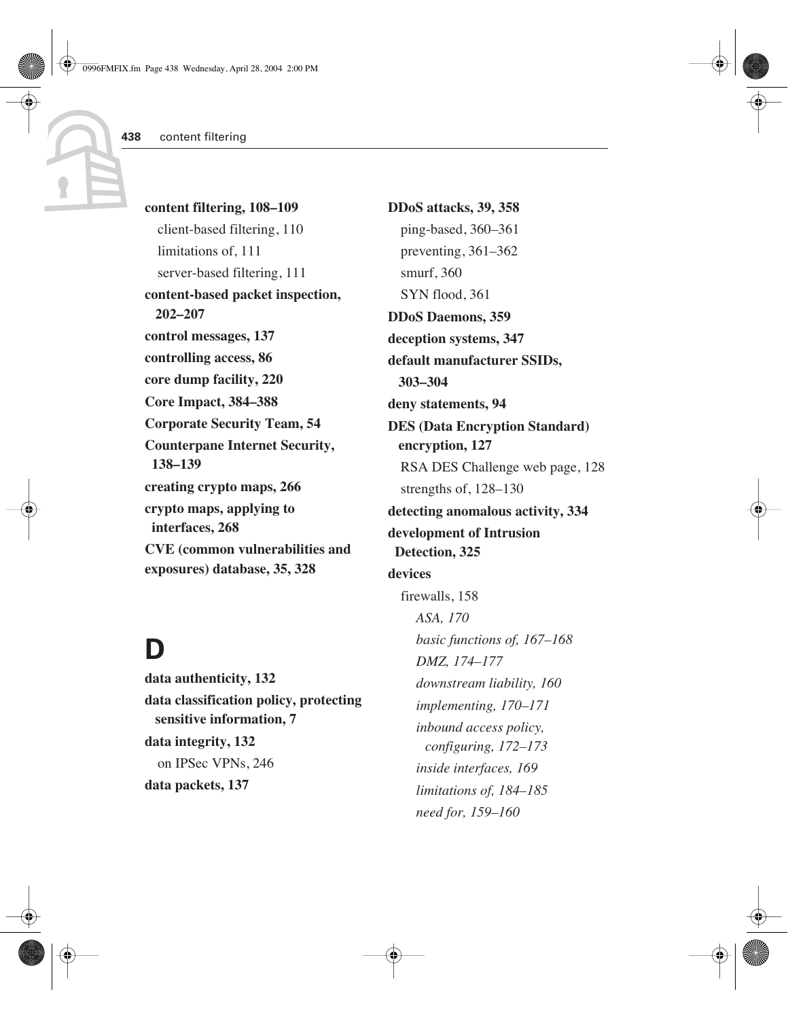**438**

**content filtering, 108–109** client-based filtering, 110 limitations of, 111 server-based filtering, 111 **content-based packet inspection, 202–207 control messages, 137 controlling access, 86 core dump facility, 220 Core Impact, 384–388 Corporate Security Team, 54 Counterpane Internet Security, 138–139 creating crypto maps, 266 crypto maps, applying to interfaces, 268 CVE (common vulnerabilities and exposures) database, 35, 328**

### **D**

**data authenticity, 132 data classification policy, protecting sensitive information, 7 data integrity, 132** on IPSec VPNs, 246 **data packets, 137**

**DDoS attacks, 39, 358** ping-based, 360–361 preventing, 361–362 smurf, 360 SYN flood, 361 **DDoS Daemons, 359 deception systems, 347 default manufacturer SSIDs, 303–304 deny statements, 94 DES (Data Encryption Standard) encryption, 127** RSA DES Challenge web page, 128 strengths of, 128–130 **detecting anomalous activity, 334 development of Intrusion Detection, 325 devices** firewalls, 158 *ASA, 170 basic functions of, 167–168 DMZ, 174–177 downstream liability, 160 implementing, 170–171 inbound access policy, configuring, 172–173 inside interfaces, 169 limitations of, 184–185 need for, 159–160*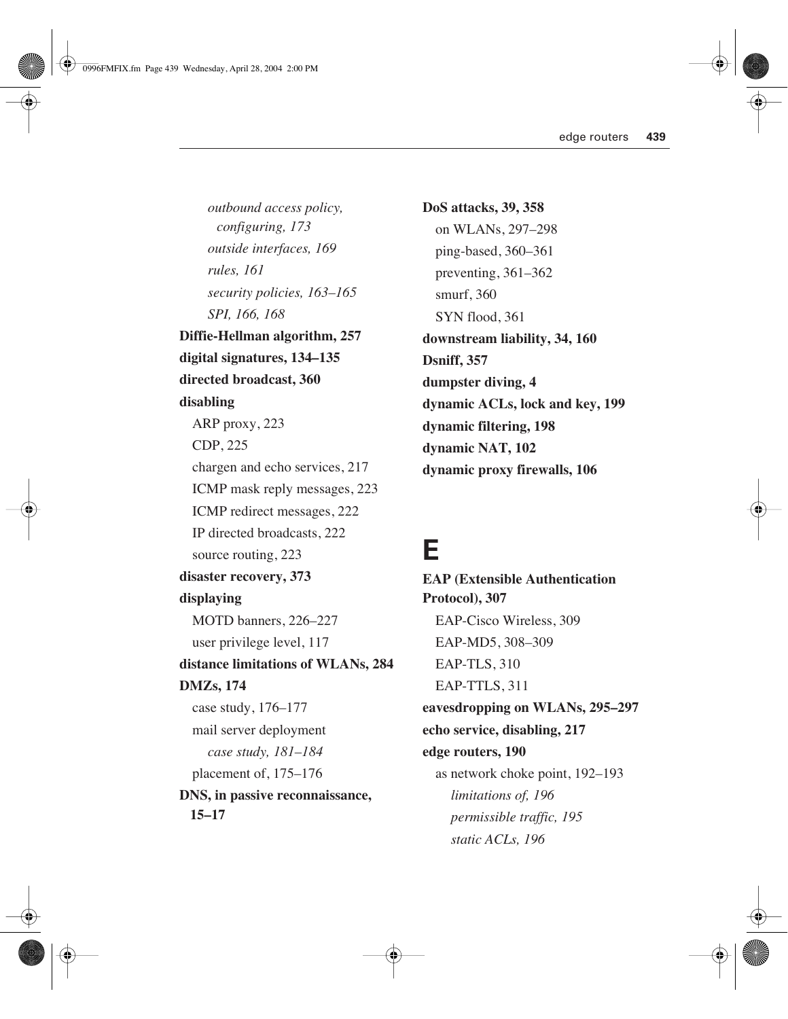*outbound access policy, configuring, 173 outside interfaces, 169 rules, 161 security policies, 163–165 SPI, 166, 168* **Diffie-Hellman algorithm, 257 digital signatures, 134–135 directed broadcast, 360 disabling** ARP proxy, 223 CDP, 225 chargen and echo services, 217 ICMP mask reply messages, 223 ICMP redirect messages, 222 IP directed broadcasts, 222 source routing, 223 **disaster recovery, 373 displaying** MOTD banners, 226–227 user privilege level, 117 **distance limitations of WLANs, 284 DMZs, 174** case study, 176–177 mail server deployment *case study, 181–184* placement of, 175–176 **DNS, in passive reconnaissance, 15–17**

**DoS attacks, 39, 358** on WLANs, 297–298 ping-based, 360–361 preventing, 361–362 smurf, 360 SYN flood, 361 **downstream liability, 34, 160 Dsniff, 357 dumpster diving, 4 dynamic ACLs, lock and key, 199 dynamic filtering, 198 dynamic NAT, 102 dynamic proxy firewalls, 106**

### **E**

**EAP (Extensible Authentication Protocol), 307** EAP-Cisco Wireless, 309 EAP-MD5, 308–309 EAP-TLS, 310 EAP-TTLS, 311 **eavesdropping on WLANs, 295–297 echo service, disabling, 217 edge routers, 190** as network choke point, 192–193 *limitations of, 196 permissible traffic, 195 static ACLs, 196*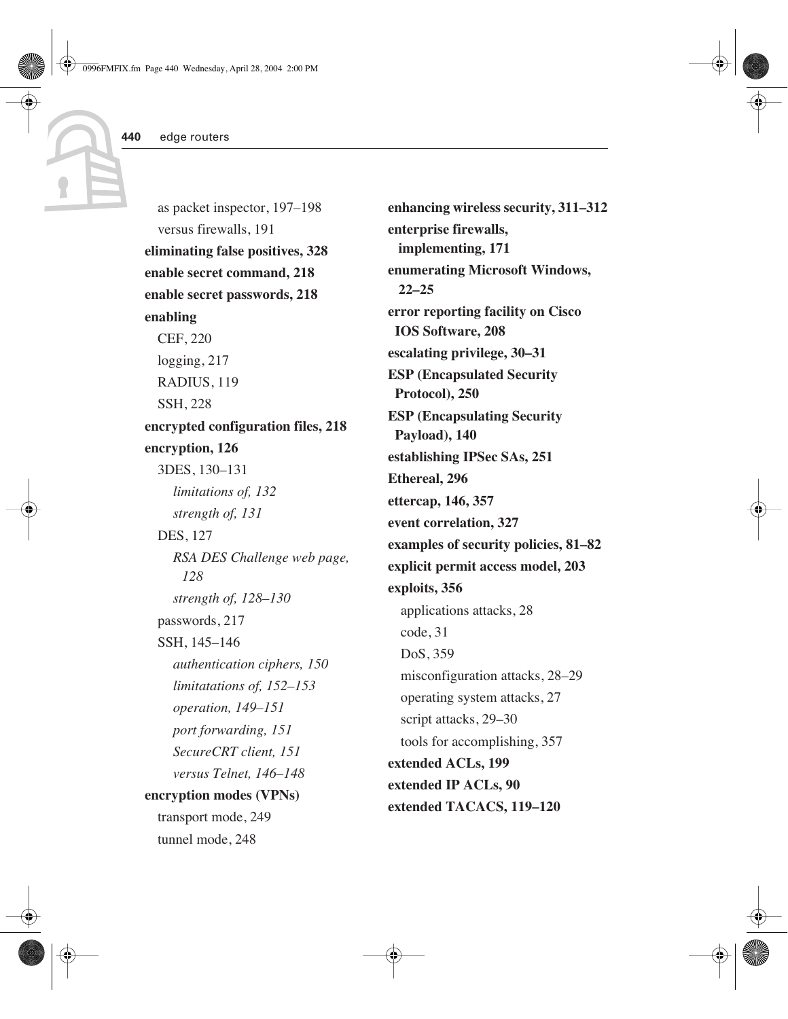as packet inspector, 197–198 versus firewalls, 191 **eliminating false positives, 328 enable secret command, 218 enable secret passwords, 218 enabling** CEF, 220 logging, 217 RADIUS, 119 SSH, 228 **encrypted configuration files, 218 encryption, 126** 3DES, 130–131 *limitations of, 132 strength of, 131* DES, 127 *RSA DES Challenge web page, 128 strength of, 128–130* passwords, 217 SSH, 145–146 *authentication ciphers, 150 limitatations of, 152–153 operation, 149–151 port forwarding, 151 SecureCRT client, 151 versus Telnet, 146–148* **encryption modes (VPNs)** transport mode, 249 tunnel mode, 248

**enhancing wireless security, 311–312 enterprise firewalls, implementing, 171 enumerating Microsoft Windows, 22–25 error reporting facility on Cisco IOS Software, 208 escalating privilege, 30–31 ESP (Encapsulated Security Protocol), 250 ESP (Encapsulating Security Payload), 140 establishing IPSec SAs, 251 Ethereal, 296 ettercap, 146, 357 event correlation, 327 examples of security policies, 81–82 explicit permit access model, 203 exploits, 356** applications attacks, 28 code, 31 DoS, 359 misconfiguration attacks, 28–29 operating system attacks, 27 script attacks, 29–30 tools for accomplishing, 357 **extended ACLs, 199 extended IP ACLs, 90 extended TACACS, 119–120**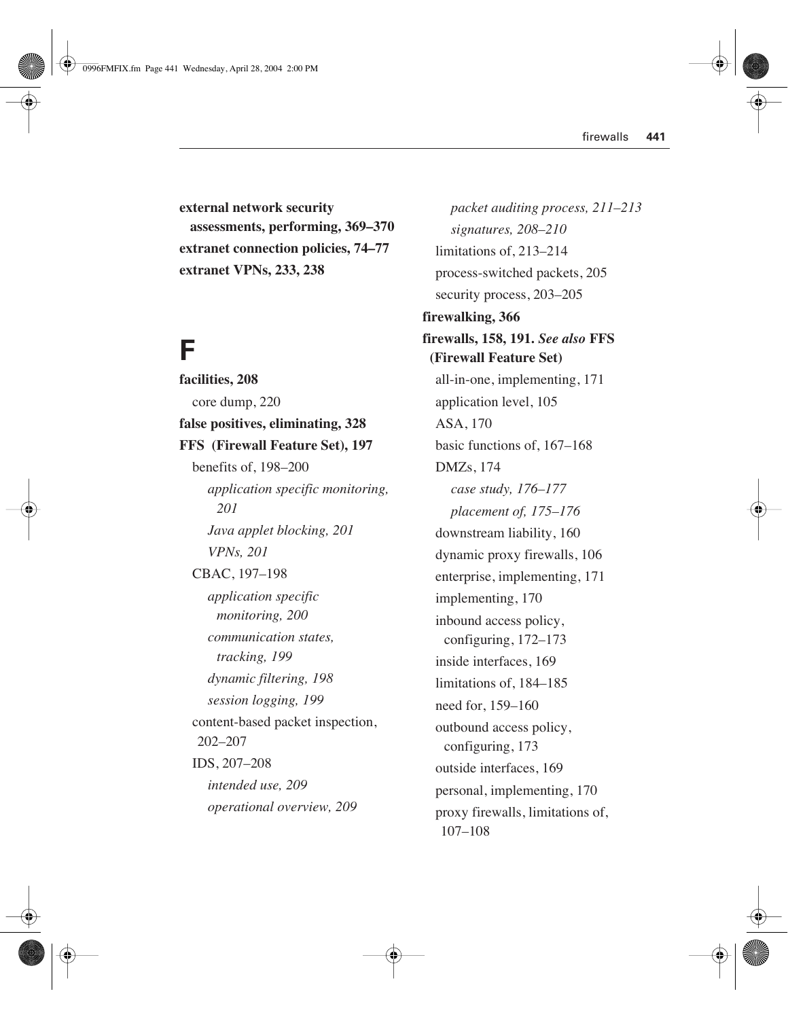**external network security assessments, performing, 369–370 extranet connection policies, 74–77 extranet VPNs, 233, 238**

### **F**

**facilities, 208** core dump, 220 **false positives, eliminating, 328 FFS (Firewall Feature Set), 197** benefits of, 198–200 *application specific monitoring, 201 Java applet blocking, 201 VPNs, 201* CBAC, 197–198 *application specific monitoring, 200 communication states, tracking, 199 dynamic filtering, 198 session logging, 199* content-based packet inspection, 202–207 IDS, 207–208 *intended use, 209 operational overview, 209*

*packet auditing process, 211–213 signatures, 208–210* limitations of, 213–214 process-switched packets, 205 security process, 203–205 **firewalking, 366 firewalls, 158, 191.** *See also* **FFS (Firewall Feature Set)** all-in-one, implementing, 171 application level, 105 ASA, 170 basic functions of, 167–168 DMZs, 174 *case study, 176–177 placement of, 175–176* downstream liability, 160 dynamic proxy firewalls, 106 enterprise, implementing, 171 implementing, 170 inbound access policy, configuring, 172–173 inside interfaces, 169 limitations of, 184–185 need for, 159–160 outbound access policy, configuring, 173 outside interfaces, 169 personal, implementing, 170 proxy firewalls, limitations of, 107–108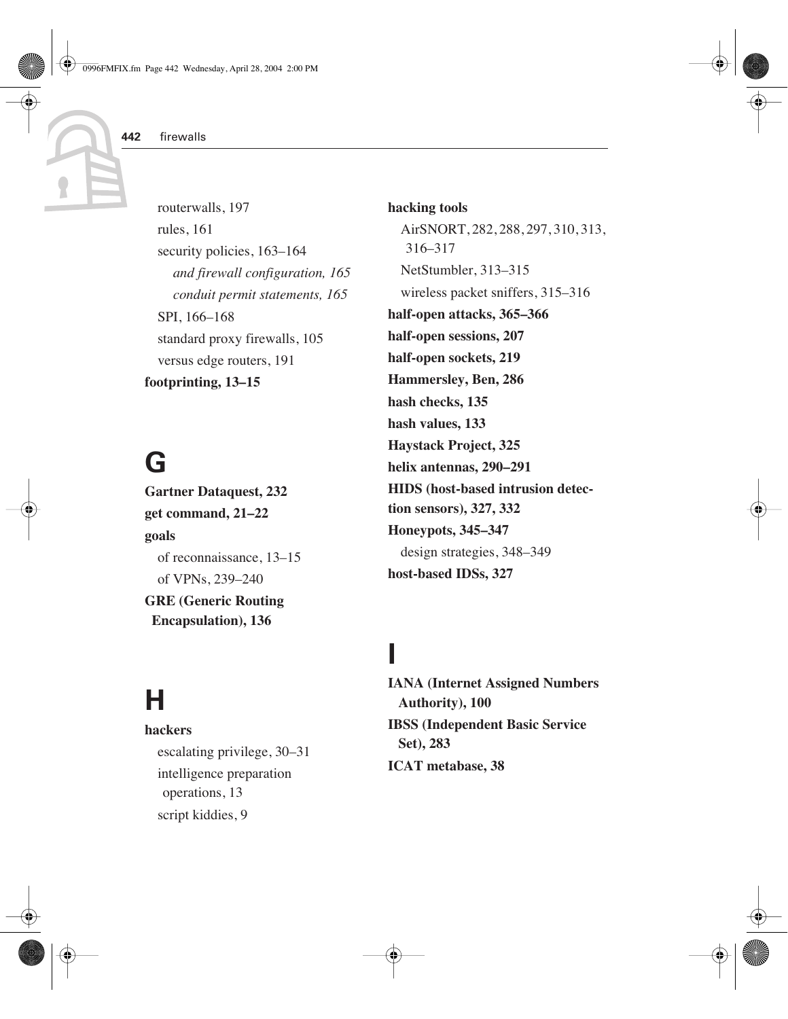routerwalls, 197 rules, 161 security policies, 163–164 *and firewall configuration, 165 conduit permit statements, 165* SPI, 166–168 standard proxy firewalls, 105 versus edge routers, 191 **footprinting, 13–15**

### **G**

**Gartner Dataquest, 232 get command, 21–22 goals** of reconnaissance, 13–15 of VPNs, 239–240 **GRE (Generic Routing Encapsulation), 136**

# **H**

**hackers** escalating privilege, 30–31 intelligence preparation operations, 13 script kiddies, 9

**hacking tools** AirSNORT, 282, 288, 297, 310, 313, 316–317 NetStumbler, 313–315 wireless packet sniffers, 315–316 **half-open attacks, 365–366 half-open sessions, 207 half-open sockets, 219 Hammersley, Ben, 286 hash checks, 135 hash values, 133 Haystack Project, 325 helix antennas, 290–291 HIDS (host-based intrusion detection sensors), 327, 332 Honeypots, 345–347** design strategies, 348–349 **host-based IDSs, 327**

### **I**

**IANA (Internet Assigned Numbers Authority), 100 IBSS (Independent Basic Service Set), 283 ICAT metabase, 38**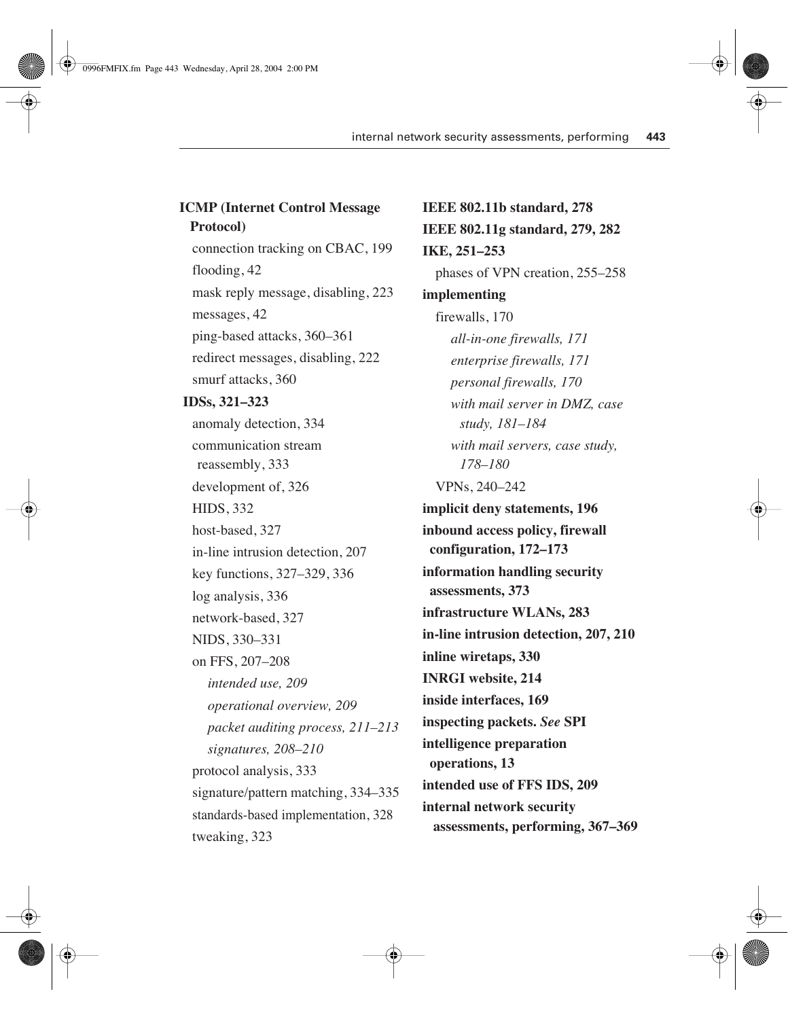#### **ICMP (Internet Control Message Protocol)**

connection tracking on CBAC, 199 flooding, 42 mask reply message, disabling, 223 messages, 42 ping-based attacks, 360–361 redirect messages, disabling, 222 smurf attacks, 360

#### **IDSs, 321–323**

anomaly detection, 334 communication stream reassembly, 333 development of, 326 HIDS, 332 host-based, 327 in-line intrusion detection, 207 key functions, 327–329, 336 log analysis, 336 network-based, 327 NIDS, 330–331 on FFS, 207–208 *intended use, 209 operational overview, 209 packet auditing process, 211–213 signatures, 208–210* protocol analysis, 333 signature/pattern matching, 334–335 standards-based implementation, 328 tweaking, 323

**IEEE 802.11b standard, 278 IEEE 802.11g standard, 279, 282 IKE, 251–253** phases of VPN creation, 255–258 **implementing** firewalls, 170 *all-in-one firewalls, 171 enterprise firewalls, 171 personal firewalls, 170 with mail server in DMZ, case study, 181–184 with mail servers, case study, 178–180* VPNs, 240–242 **implicit deny statements, 196 inbound access policy, firewall configuration, 172–173 information handling security assessments, 373 infrastructure WLANs, 283 in-line intrusion detection, 207, 210 inline wiretaps, 330 INRGI website, 214 inside interfaces, 169 inspecting packets.** *See* **SPI intelligence preparation operations, 13 intended use of FFS IDS, 209 internal network security assessments, performing, 367–369**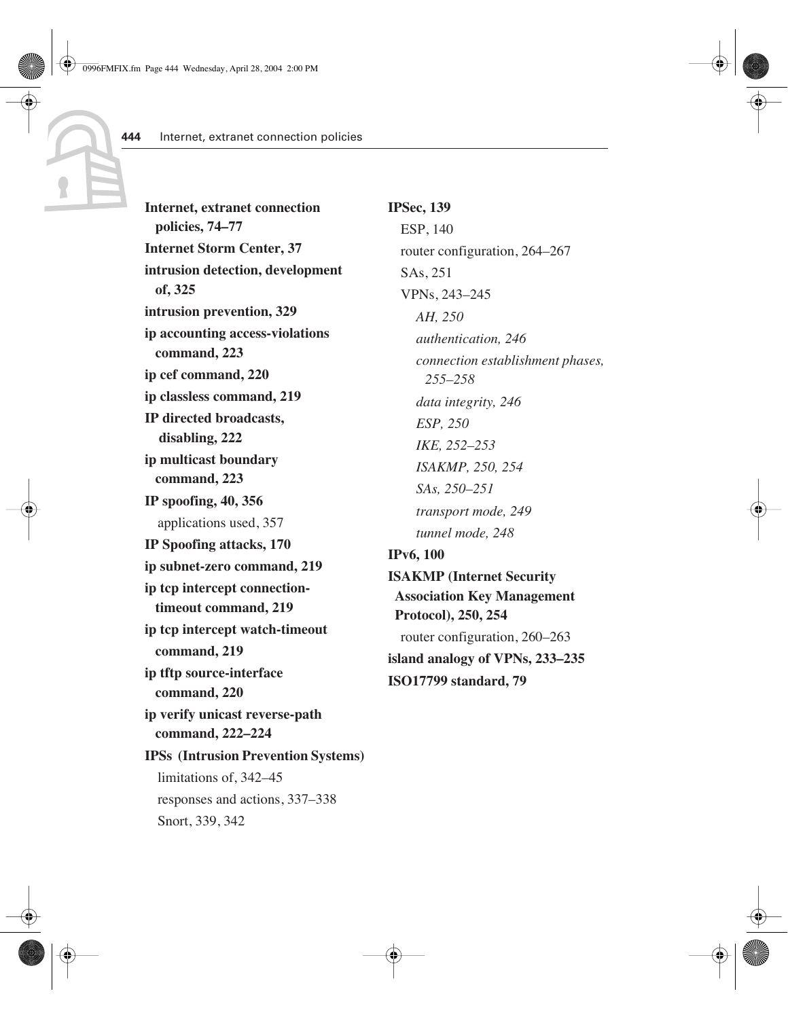### **Internet, extranet connection policies, 74–77 Internet Storm Center, 37 intrusion detection, development of, 325 intrusion prevention, 329 ip accounting access-violations command, 223 ip cef command, 220 ip classless command, 219 IP directed broadcasts, disabling, 222 ip multicast boundary command, 223 IP spoofing, 40, 356** applications used, 357 **IP Spoofing attacks, 170 ip subnet-zero command, 219 ip tcp intercept connection timeout command, 219 ip tcp intercept watch-timeout command, 219 ip tftp source-interface command, 220 ip verify unicast reverse-path command, 222–224 IPSs (Intrusion Prevention Systems)**

limitations of, 342–45 responses and actions, 337–338 Snort, 339, 342

**IPSec, 139** ESP, 140 router configuration, 264–267 SAs, 251 VPNs, 243–245 *AH, 250 authentication, 246 connection establishment phases, 255–258 data integrity, 246 ESP, 250 IKE, 252–253 ISAKMP, 250, 254 SAs, 250–251 transport mode, 249 tunnel mode, 248* **IPv6, 100 ISAKMP (Internet Security Association Key Management Protocol), 250, 254** router configuration, 260–263 **island analogy of VPNs, 233–235 ISO17799 standard, 79**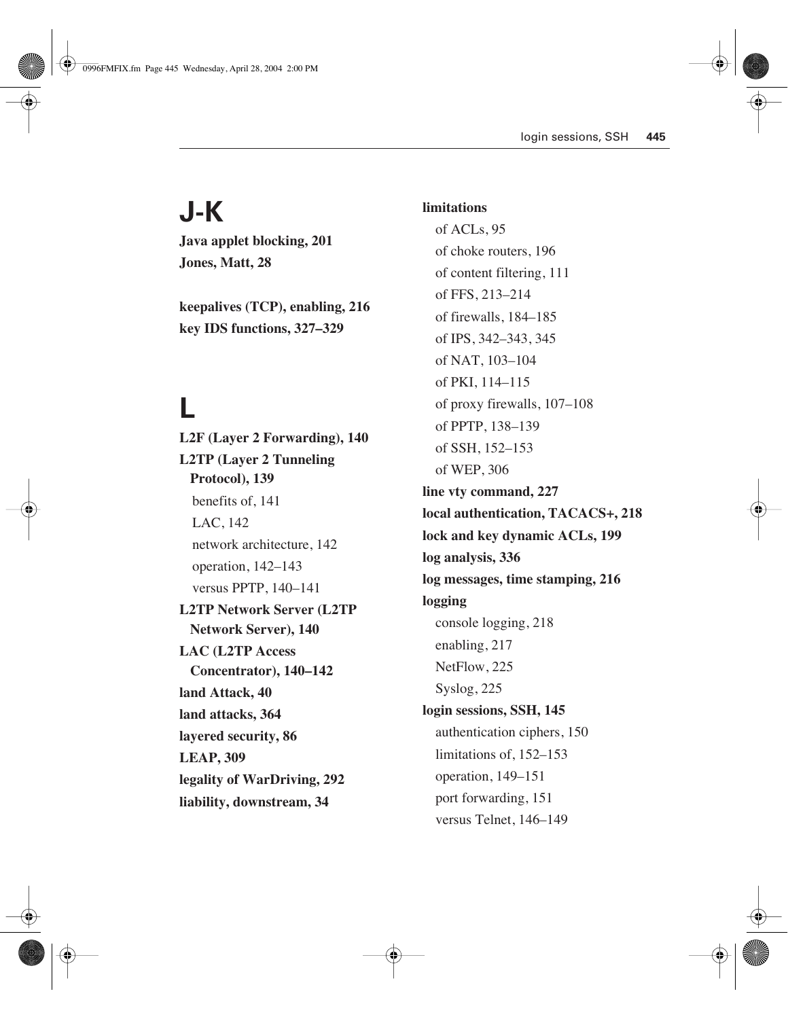## **J-K**

**Java applet blocking, 201 Jones, Matt, 28**

**keepalives (TCP), enabling, 216 key IDS functions, 327–329**

### **L**

**L2F (Layer 2 Forwarding), 140 L2TP (Layer 2 Tunneling Protocol), 139** benefits of, 141 LAC, 142 network architecture, 142 operation, 142–143 versus PPTP, 140–141 **L2TP Network Server (L2TP Network Server), 140 LAC (L2TP Access Concentrator), 140–142 land Attack, 40 land attacks, 364 layered security, 86 LEAP, 309 legality of WarDriving, 292 liability, downstream, 34**

#### **limitations**

of ACLs, 95 of choke routers, 196 of content filtering, 111 of FFS, 213–214 of firewalls, 184–185 of IPS, 342–343, 345 of NAT, 103–104 of PKI, 114–115 of proxy firewalls, 107–108 of PPTP, 138–139 of SSH, 152–153 of WEP, 306 **line vty command, 227 local authentication, TACACS+, 218 lock and key dynamic ACLs, 199 log analysis, 336 log messages, time stamping, 216 logging** console logging, 218 enabling, 217 NetFlow, 225 Syslog, 225 **login sessions, SSH, 145** authentication ciphers, 150 limitations of, 152–153 operation, 149–151 port forwarding, 151 versus Telnet, 146–149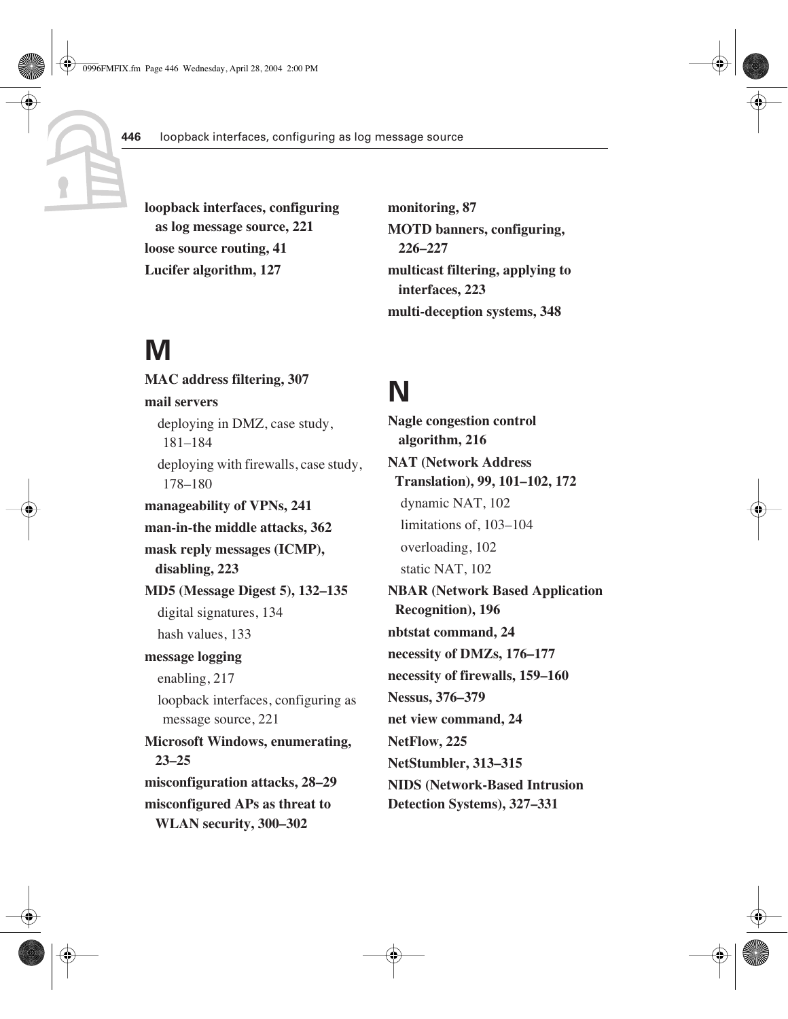**loopback interfaces, configuring as log message source, 221 loose source routing, 41 Lucifer algorithm, 127**

# **M**

**MAC address filtering, 307 mail servers** deploying in DMZ, case study, 181–184 deploying with firewalls, case study, 178–180 **manageability of VPNs, 241 man-in-the middle attacks, 362 mask reply messages (ICMP), disabling, 223 MD5 (Message Digest 5), 132–135** digital signatures, 134 hash values, 133 **message logging** enabling, 217 loopback interfaces, configuring as message source, 221 **Microsoft Windows, enumerating, 23–25 misconfiguration attacks, 28–29 misconfigured APs as threat to WLAN security, 300–302**

**monitoring, 87 MOTD banners, configuring, 226–227 multicast filtering, applying to interfaces, 223 multi-deception systems, 348**

# **N**

**Nagle congestion control algorithm, 216 NAT (Network Address Translation), 99, 101–102, 172** dynamic NAT, 102 limitations of, 103–104 overloading, 102 static NAT, 102 **NBAR (Network Based Application Recognition), 196 nbtstat command, 24 necessity of DMZs, 176–177 necessity of firewalls, 159–160 Nessus, 376–379 net view command, 24 NetFlow, 225 NetStumbler, 313–315 NIDS (Network-Based Intrusion Detection Systems), 327–331**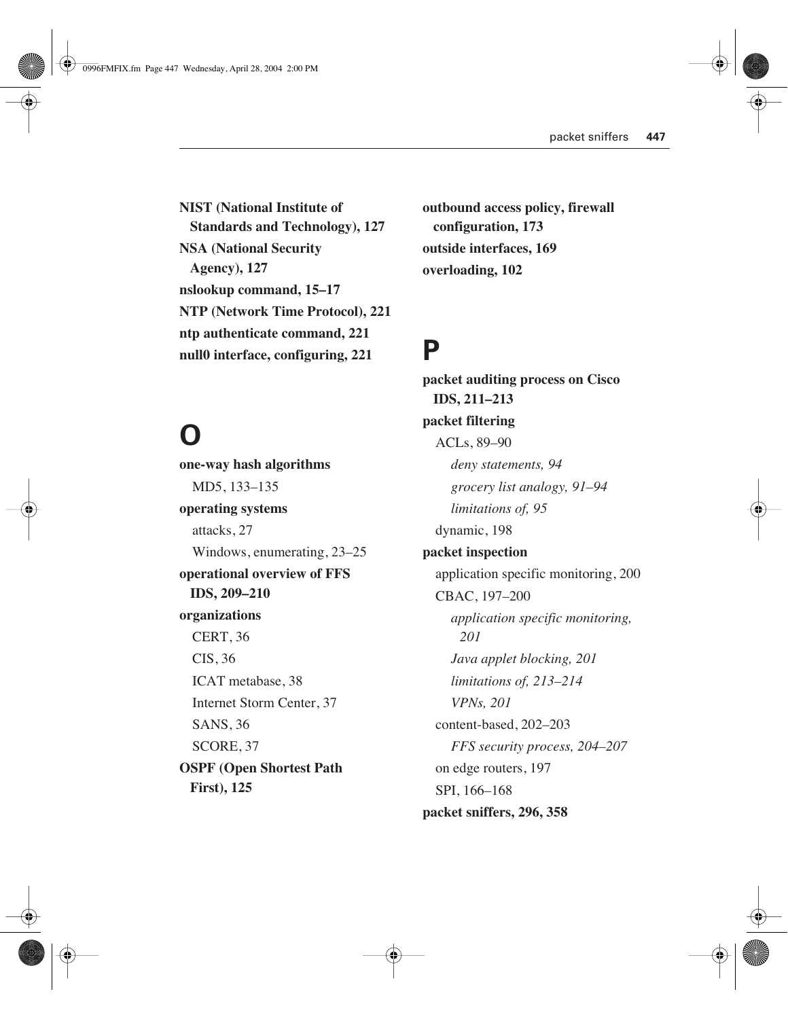**NIST (National Institute of Standards and Technology), 127 NSA (National Security Agency), 127 nslookup command, 15–17 NTP (Network Time Protocol), 221 ntp authenticate command, 221 null0 interface, configuring, 221**

# **O**

**one-way hash algorithms** MD5, 133–135 **operating systems** attacks, 27 Windows, enumerating, 23–25 **operational overview of FFS IDS, 209–210 organizations** CERT, 36 CIS, 36 ICAT metabase, 38 Internet Storm Center, 37 SANS, 36 SCORE, 37 **OSPF (Open Shortest Path First), 125**

**outbound access policy, firewall configuration, 173 outside interfaces, 169 overloading, 102**

### **P**

**packet auditing process on Cisco IDS, 211–213 packet filtering** ACLs, 89–90 *deny statements, 94 grocery list analogy, 91–94 limitations of, 95* dynamic, 198 **packet inspection** application specific monitoring, 200 CBAC, 197–200 *application specific monitoring, 201 Java applet blocking, 201 limitations of, 213–214 VPNs, 201* content-based, 202–203 *FFS security process, 204–207* on edge routers, 197 SPI, 166–168 **packet sniffers, 296, 358**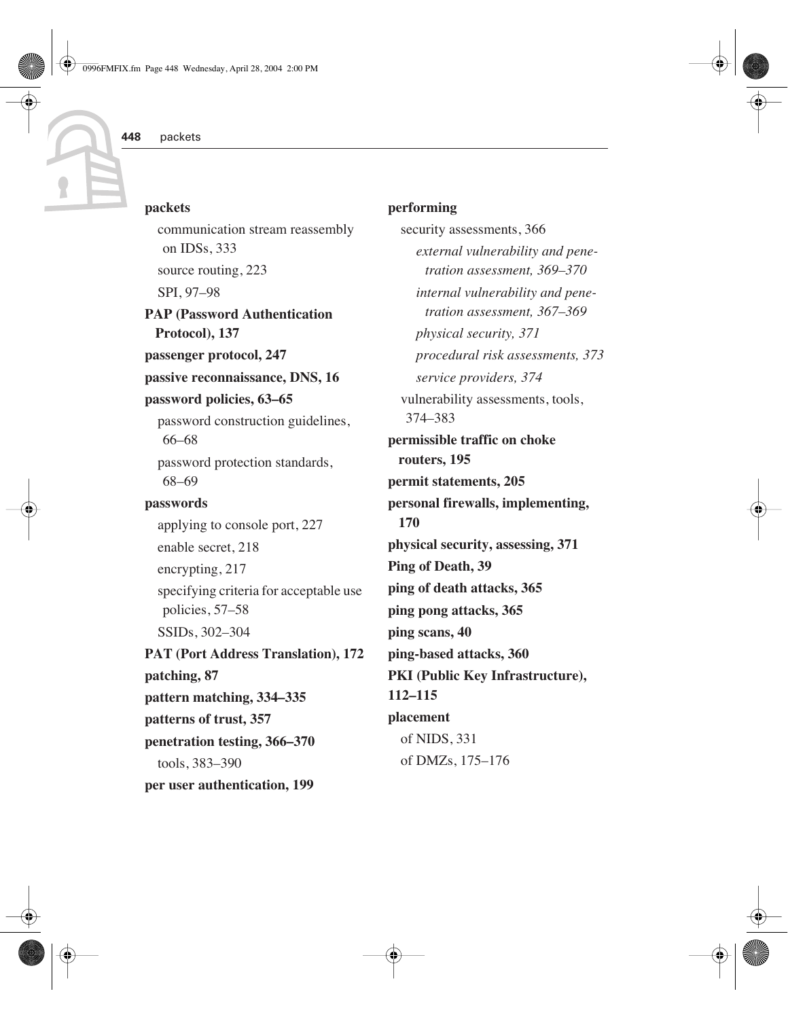#### **packets**

### communication stream reassembly on IDSs, 333 source routing, 223 SPI, 97–98 **PAP (Password Authentication Protocol), 137 passenger protocol, 247 passive reconnaissance, DNS, 16 password policies, 63–65** password construction guidelines, 66–68 password protection standards, 68–69 **passwords** applying to console port, 227 enable secret, 218 encrypting, 217 specifying criteria for acceptable use policies, 57–58 SSIDs, 302–304 **PAT (Port Address Translation), 172 patching, 87 pattern matching, 334–335 patterns of trust, 357 penetration testing, 366–370** tools, 383–390 **per user authentication, 199**

### security assessments, 366 *external vulnerability and penetration assessment, 369–370 internal vulnerability and penetration assessment, 367–369 physical security, 371 procedural risk assessments, 373 service providers, 374* vulnerability assessments, tools, 374–383 **permissible traffic on choke routers, 195 permit statements, 205 personal firewalls, implementing, 170 physical security, assessing, 371 Ping of Death, 39 ping of death attacks, 365 ping pong attacks, 365 ping scans, 40 ping-based attacks, 360 PKI (Public Key Infrastructure), 112–115 placement**  of NIDS, 331 of DMZs, 175–176

**performing**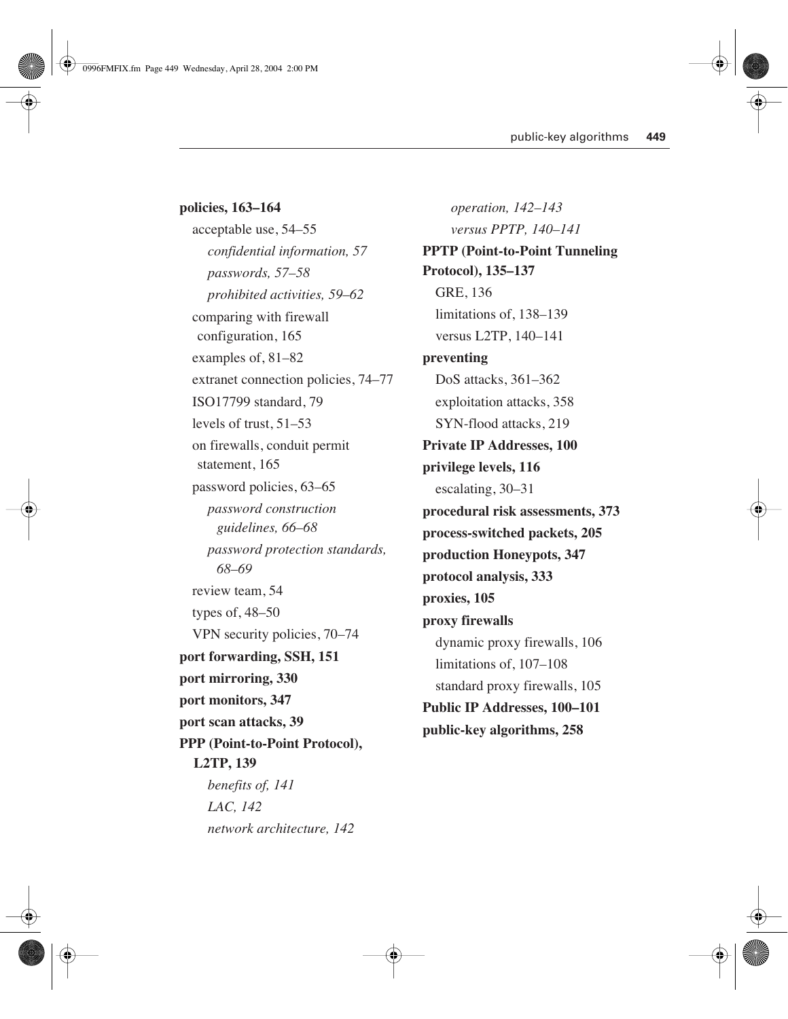**policies, 163–164** acceptable use, 54–55 *confidential information, 57 passwords, 57–58 prohibited activities, 59–62* comparing with firewall configuration, 165 examples of, 81–82 extranet connection policies, 74–77 ISO17799 standard, 79 levels of trust, 51–53 on firewalls, conduit permit statement, 165 password policies, 63–65 *password construction guidelines, 66–68 password protection standards, 68–69* review team, 54 types of, 48–50 VPN security policies, 70–74 **port forwarding, SSH, 151 port mirroring, 330 port monitors, 347 port scan attacks, 39 PPP (Point-to-Point Protocol), L2TP, 139** *benefits of, 141 LAC, 142 network architecture, 142*

*operation, 142–143 versus PPTP, 140–141* **PPTP (Point-to-Point Tunneling Protocol), 135–137** GRE, 136 limitations of, 138–139 versus L2TP, 140–141 **preventing** DoS attacks, 361–362 exploitation attacks, 358 SYN-flood attacks, 219 **Private IP Addresses, 100 privilege levels, 116** escalating, 30–31 **procedural risk assessments, 373 process-switched packets, 205 production Honeypots, 347 protocol analysis, 333 proxies, 105 proxy firewalls** dynamic proxy firewalls, 106 limitations of, 107–108 standard proxy firewalls, 105 **Public IP Addresses, 100–101 public-key algorithms, 258**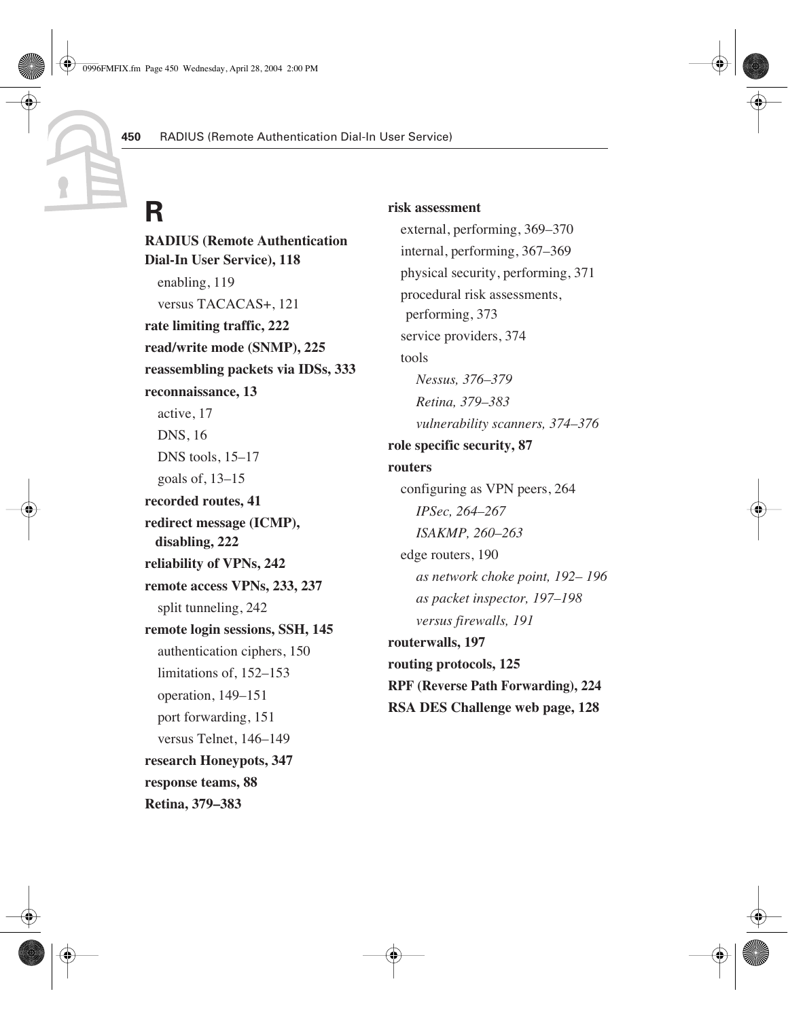# **R**

**RADIUS (Remote Authentication Dial-In User Service), 118** enabling, 119 versus TACACAS+, 121 **rate limiting traffic, 222 read/write mode (SNMP), 225 reassembling packets via IDSs, 333 reconnaissance, 13** active, 17 DNS, 16 DNS tools, 15–17 goals of, 13–15 **recorded routes, 41 redirect message (ICMP), disabling, 222 reliability of VPNs, 242 remote access VPNs, 233, 237** split tunneling, 242 **remote login sessions, SSH, 145** authentication ciphers, 150 limitations of, 152–153 operation, 149–151 port forwarding, 151 versus Telnet, 146–149 **research Honeypots, 347 response teams, 88 Retina, 379–383**

#### **risk assessment**

external, performing, 369–370 internal, performing, 367–369 physical security, performing, 371 procedural risk assessments, performing, 373 service providers, 374 tools *Nessus, 376–379 Retina, 379–383 vulnerability scanners, 374–376* **role specific security, 87 routers** configuring as VPN peers, 264 *IPSec, 264–267 ISAKMP, 260–263* edge routers, 190 *as network choke point, 192– 196 as packet inspector, 197–198 versus firewalls, 191* **routerwalls, 197 routing protocols, 125 RPF (Reverse Path Forwarding), 224 RSA DES Challenge web page, 128**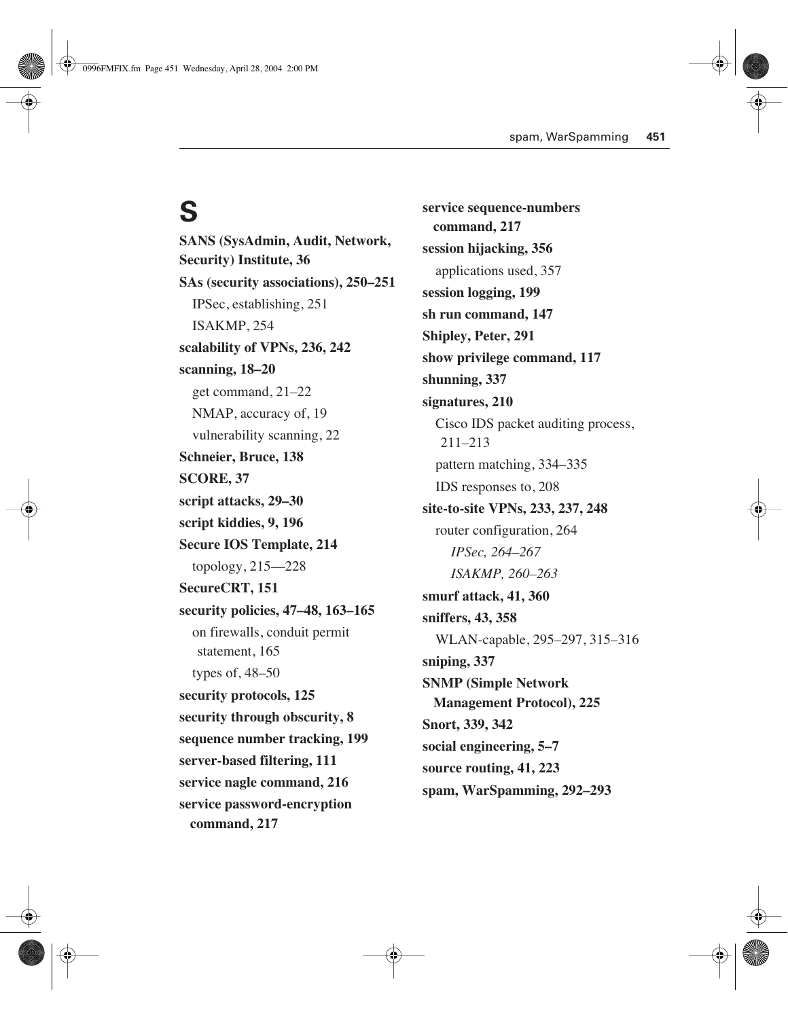### **S**

**SANS (SysAdmin, Audit, Network, Security) Institute, 36 SAs (security associations), 250–251** IPSec, establishing, 251 ISAKMP, 254 **scalability of VPNs, 236, 242 scanning, 18–20** get command, 21–22 NMAP, accuracy of, 19 vulnerability scanning, 22 **Schneier, Bruce, 138 SCORE, 37 script attacks, 29–30 script kiddies, 9, 196 Secure IOS Template, 214** topology, 215––228 **SecureCRT, 151 security policies, 47–48, 163–165** on firewalls, conduit permit statement, 165 types of, 48–50 **security protocols, 125 security through obscurity, 8 sequence number tracking, 199 server-based filtering, 111 service nagle command, 216 service password-encryption command, 217**

**service sequence-numbers command, 217 session hijacking, 356** applications used, 357 **session logging, 199 sh run command, 147 Shipley, Peter, 291 show privilege command, 117 shunning, 337 signatures, 210** Cisco IDS packet auditing process, 211–213 pattern matching, 334–335 IDS responses to, 208 **site-to-site VPNs, 233, 237, 248** router configuration, 264 *IPSec, 264–267 ISAKMP, 260–263* **smurf attack, 41, 360 sniffers, 43, 358** WLAN-capable, 295–297, 315–316 **sniping, 337 SNMP (Simple Network Management Protocol), 225 Snort, 339, 342 social engineering, 5–7 source routing, 41, 223 spam, WarSpamming, 292–293**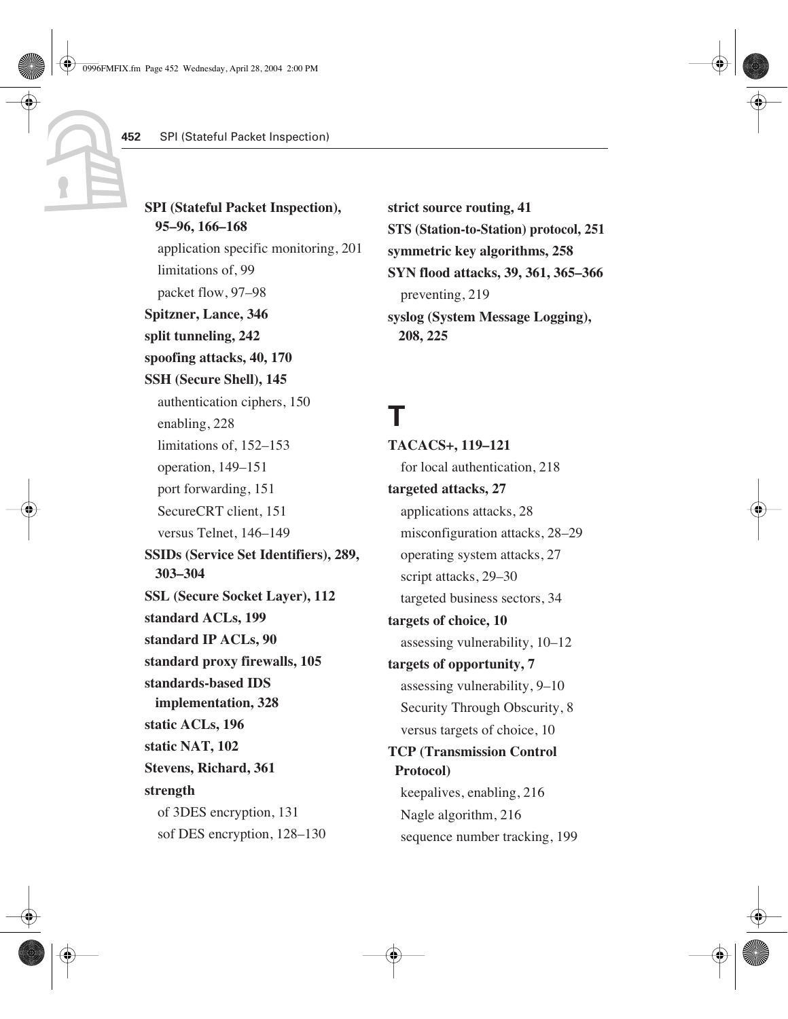**SPI (Stateful Packet Inspection), 95–96, 166–168** application specific monitoring, 201 limitations of, 99 packet flow, 97–98 **Spitzner, Lance, 346 split tunneling, 242 spoofing attacks, 40, 170 SSH (Secure Shell), 145** authentication ciphers, 150 enabling, 228 limitations of, 152–153 operation, 149–151 port forwarding, 151 SecureCRT client, 151 versus Telnet, 146–149 **SSIDs (Service Set Identifiers), 289, 303–304 SSL (Secure Socket Layer), 112 standard ACLs, 199 standard IP ACLs, 90 standard proxy firewalls, 105 standards-based IDS implementation, 328 static ACLs, 196 static NAT, 102 Stevens, Richard, 361 strength**  of 3DES encryption, 131 sof DES encryption, 128–130

**strict source routing, 41 STS (Station-to-Station) protocol, 251 symmetric key algorithms, 258 SYN flood attacks, 39, 361, 365–366** preventing, 219 **syslog (System Message Logging), 208, 225**

# **T**

**TACACS+, 119–121** for local authentication, 218 **targeted attacks, 27** applications attacks, 28 misconfiguration attacks, 28–29 operating system attacks, 27 script attacks, 29–30 targeted business sectors, 34 **targets of choice, 10** assessing vulnerability, 10–12 **targets of opportunity, 7** assessing vulnerability, 9–10 Security Through Obscurity, 8 versus targets of choice, 10 **TCP (Transmission Control Protocol)** keepalives, enabling, 216 Nagle algorithm, 216 sequence number tracking, 199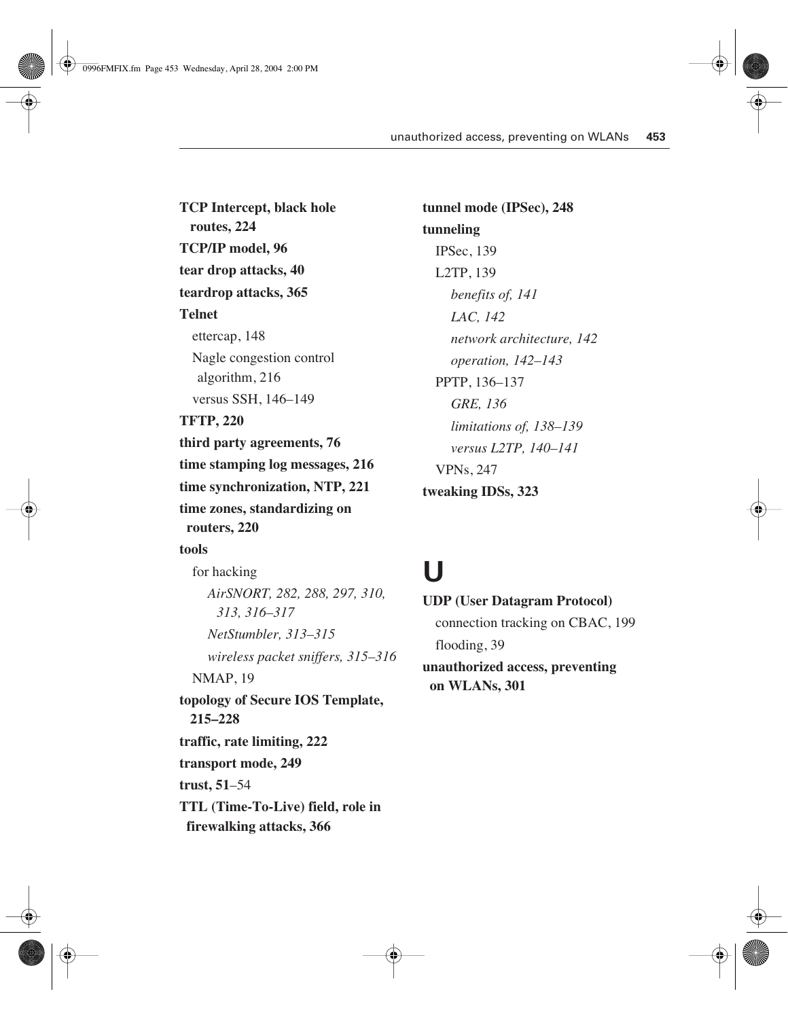**TCP Intercept, black hole routes, 224 TCP/IP model, 96 tear drop attacks, 40 teardrop attacks, 365 Telnet** ettercap, 148 Nagle congestion control algorithm, 216 versus SSH, 146–149 **TFTP, 220 third party agreements, 76 time stamping log messages, 216 time synchronization, NTP, 221 time zones, standardizing on routers, 220 tools** for hacking *AirSNORT, 282, 288, 297, 310, 313, 316–317 NetStumbler, 313–315 wireless packet sniffers, 315–316* NMAP, 19 **topology of Secure IOS Template, 215–228 traffic, rate limiting, 222 transport mode, 249 trust, 51**–54 **TTL (Time-To-Live) field, role in firewalking attacks, 366**

**tunnel mode (IPSec), 248 tunneling** IPSec, 139 L2TP, 139 *benefits of, 141 LAC, 142 network architecture, 142 operation, 142–143* PPTP, 136–137 *GRE, 136 limitations of, 138–139 versus L2TP, 140–141* VPNs, 247 **tweaking IDSs, 323**

# **U**

**UDP (User Datagram Protocol)** connection tracking on CBAC, 199 flooding, 39 **unauthorized access, preventing on WLANs, 301**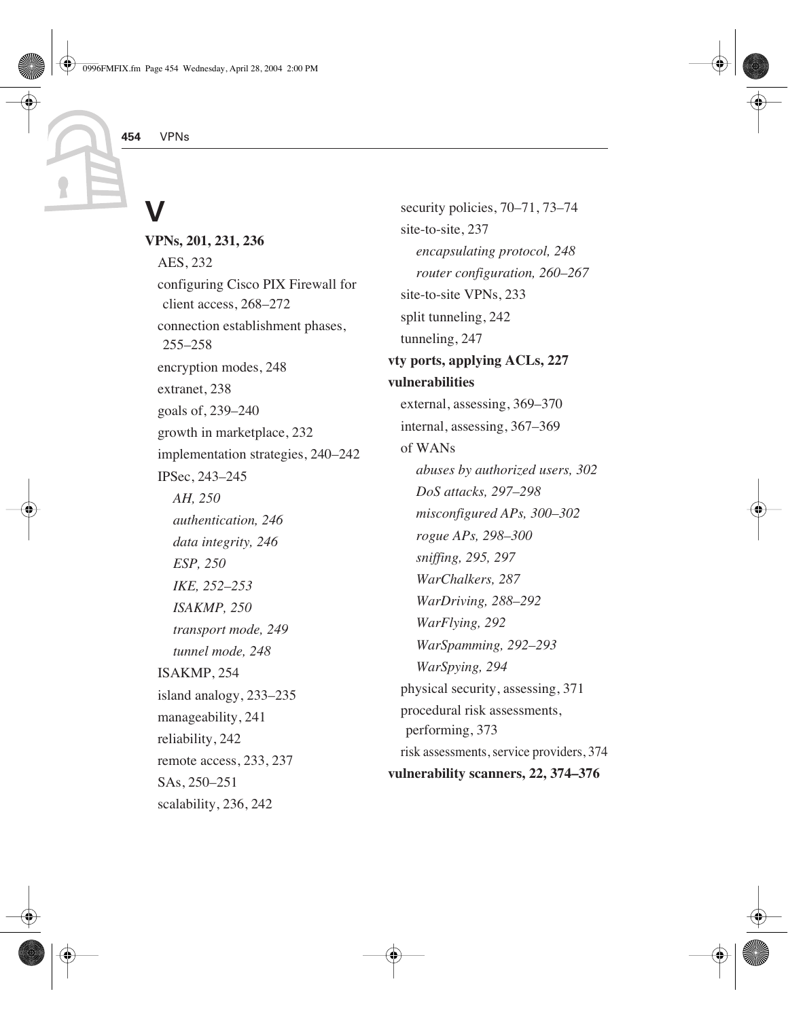# **V**

**VPNs, 201, 231, 236** AES, 232 configuring Cisco PIX Firewall for client access, 268–272 connection establishment phases, 255–258 encryption modes, 248 extranet, 238 goals of, 239–240 growth in marketplace, 232 implementation strategies, 240–242 IPSec, 243–245 *AH, 250 authentication, 246 data integrity, 246 ESP, 250 IKE, 252–253 ISAKMP, 250 transport mode, 249 tunnel mode, 248* ISAKMP, 254 island analogy, 233–235 manageability, 241 reliability, 242 remote access, 233, 237 SAs, 250–251 scalability, 236, 242

security policies, 70–71, 73–74 site-to-site, 237 *encapsulating protocol, 248 router configuration, 260–267* site-to-site VPNs, 233 split tunneling, 242 tunneling, 247 **vty ports, applying ACLs, 227 vulnerabilities** external, assessing, 369–370 internal, assessing, 367–369 of WANs *abuses by authorized users, 302 DoS attacks, 297–298 misconfigured APs, 300–302 rogue APs, 298–300 sniffing, 295, 297 WarChalkers, 287 WarDriving, 288–292 WarFlying, 292 WarSpamming, 292–293 WarSpying, 294* physical security, assessing, 371 procedural risk assessments, performing, 373 risk assessments, service providers, 374 **vulnerability scanners, 22, 374–376**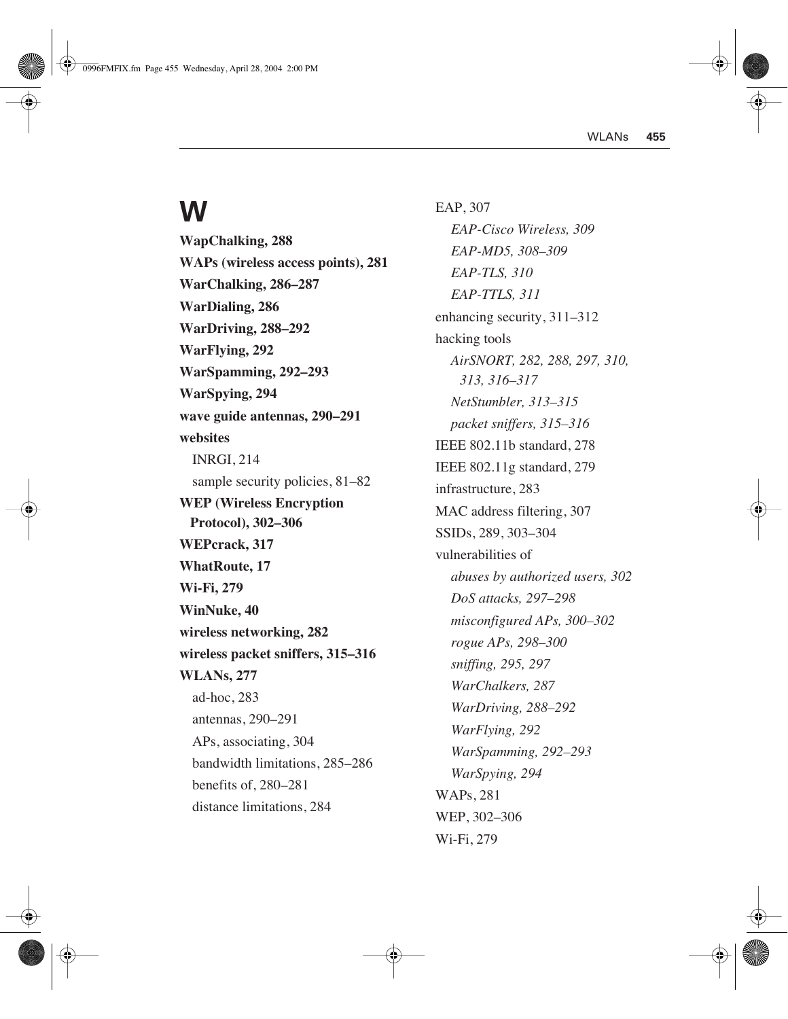### **W**

**WapChalking, 288 WAPs (wireless access points), 281 WarChalking, 286–287 WarDialing, 286 WarDriving, 288–292 WarFlying, 292 WarSpamming, 292–293 WarSpying, 294 wave guide antennas, 290–291 websites** INRGI, 214 sample security policies, 81–82 **WEP (Wireless Encryption Protocol), 302–306 WEPcrack, 317 WhatRoute, 17 Wi-Fi, 279 WinNuke, 40 wireless networking, 282 wireless packet sniffers, 315–316 WLANs, 277** ad-hoc, 283 antennas, 290–291 APs, associating, 304 bandwidth limitations, 285–286 benefits of, 280–281 distance limitations, 284

EAP, 307 *EAP-Cisco Wireless, 309 EAP-MD5, 308–309 EAP-TLS, 310 EAP-TTLS, 311* enhancing security, 311–312 hacking tools *AirSNORT, 282, 288, 297, 310, 313, 316–317 NetStumbler, 313–315 packet sniffers, 315–316* IEEE 802.11b standard, 278 IEEE 802.11g standard, 279 infrastructure, 283 MAC address filtering, 307 SSIDs, 289, 303–304 vulnerabilities of *abuses by authorized users, 302 DoS attacks, 297–298 misconfigured APs, 300–302 rogue APs, 298–300 sniffing, 295, 297 WarChalkers, 287 WarDriving, 288–292 WarFlying, 292 WarSpamming, 292–293 WarSpying, 294* WAPs, 281 WEP, 302–306 Wi-Fi, 279